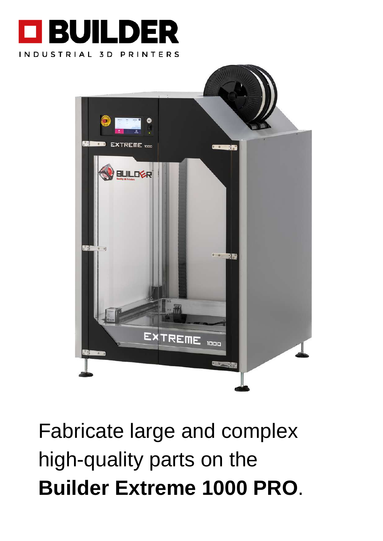



Fabricate large and complex high-quality parts on the **Builder Extreme 1000 PRO**.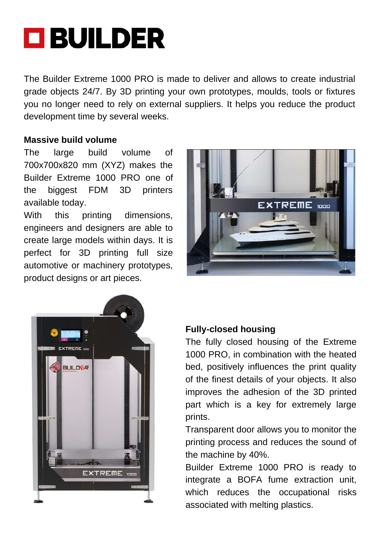# **OBUILDER**

The Builder Extreme 1000 PRO is made to deliver and allows to create industrial grade objects 24/7. By 3D printing your own prototypes, moulds, tools or fixtures you no longer need to rely on external suppliers. It helps you reduce the product development time by several weeks.

#### **Massive build volume**

The large build volume of 700x700x820 mm (XYZ) makes the Builder Extreme 1000 PRO one of the biggest FDM 3D printers available today.

With this printing dimensions, engineers and designers are able to create large models within days. It is perfect for 3D printing full size automotive or machinery prototypes, product designs or art pieces.





### **Fully-closed housing**

The fully closed housing of the Extreme 1000 PRO, in combination with the heated bed, positively influences the print quality of the finest details of your objects. It also improves the adhesion of the 3D printed part which is a key for extremely large prints.

Transparent door allows you to monitor the printing process and reduces the sound of the machine by 40%.

Builder Extreme 1000 PRO is ready to integrate a BOFA fume extraction unit, which reduces the occupational risks associated with melting plastics.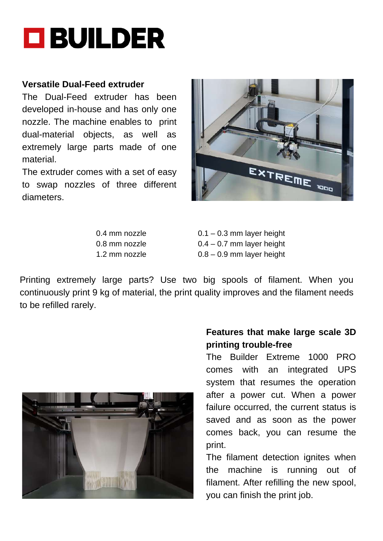

#### **Versatile Dual-Feed extruder**

The Dual-Feed extruder has been developed in-house and has only one nozzle. The machine enables to print dual-material objects, as well as extremely large parts made of one material.

The extruder comes with a set of easy to swap nozzles of three different diameters.



0.4 mm nozzle  $0.1 - 0.3$  mm layer height 0.8 mm nozzle 0.4 – 0.7 mm layer height 1.2 mm nozzle 0.8 – 0.9 mm layer height

Printing extremely large parts? Use two big spools of filament. When you continuously print 9 kg of material, the print quality improves and the filament needs to be refilled rarely.



#### **Features that make large scale 3D printing trouble-free**

The Builder Extreme 1000 PRO comes with an integrated UPS system that resumes the operation after a power cut. When a power failure occurred, the current status is saved and as soon as the power comes back, you can resume the print.

The filament detection ignites when the machine is running out of filament. After refilling the new spool, you can finish the print job.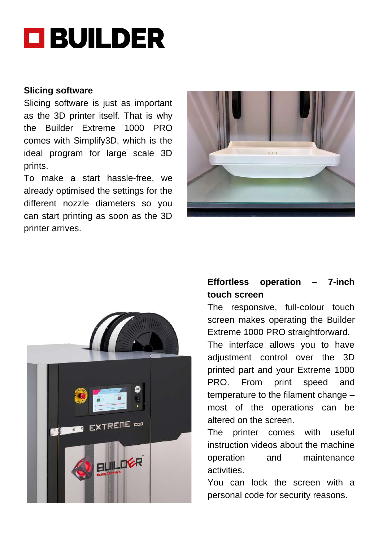## **O BUILDER**

#### **Slicing software**

Slicing software is just as important as the 3D printer itself. That is why the Builder Extreme 1000 PRO comes with Simplify3D, which is the ideal program for large scale 3D prints.

To make a start hassle-free, we already optimised the settings for the different nozzle diameters so you can start printing as soon as the 3D printer arrives.





## **Effortless operation – 7-inch touch screen**

The responsive, full-colour touch screen makes operating the Builder Extreme 1000 PRO straightforward.

The interface allows you to have adjustment control over the 3D printed part and your Extreme 1000 PRO. From print speed and temperature to the filament change – most of the operations can be altered on the screen.

The printer comes with useful instruction videos about the machine operation and maintenance activities.

You can lock the screen with a personal code for security reasons.